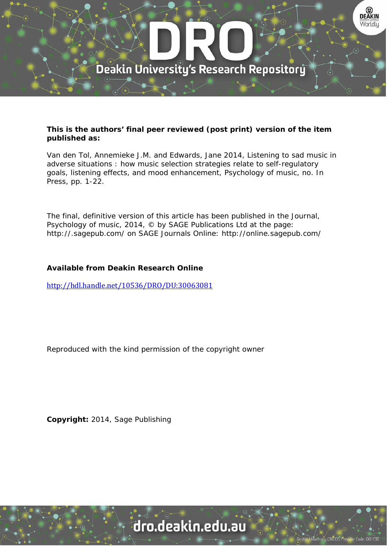

# **This is the authors' final peer reviewed (post print) version of the item published as:**

Van den Tol, Annemieke J.M. and Edwards, Jane 2014, Listening to sad music in adverse situations : how music selection strategies relate to self-regulatory goals, listening effects, and mood enhancement, Psychology of music, no. In Press, pp. 1-22.

The final, definitive version of this article has been published in the Journal, Psychology of music, 2014, © by SAGE Publications Ltd at the page: http://.sagepub.com/ on SAGE Journals Online: http://online.sagepub.com/

# **Available from Deakin Research Online**

http://hdl.handle.net/10536/DRO/DU:30063081

Reproduced with the kind permission of the copyright owner

**Copyright:** 2014, Sage Publishing

dro.deakin.edu.au

ity CRICOS Pro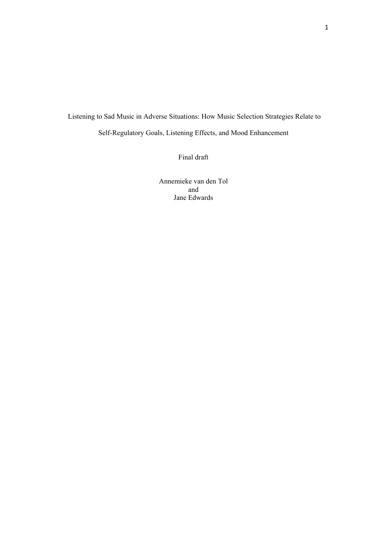# Listening to Sad Music in Adverse Situations: How Music Selection Strategies Relate to Self-Regulatory Goals, Listening Effects, and Mood Enhancement

Final draft

Annemieke van den Tol and Jane Edwards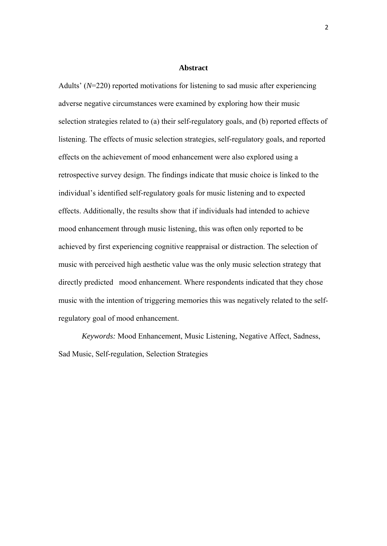#### **Abstract**

Adults' (*N*=220) reported motivations for listening to sad music after experiencing adverse negative circumstances were examined by exploring how their music selection strategies related to (a) their self-regulatory goals, and (b) reported effects of listening. The effects of music selection strategies, self-regulatory goals, and reported effects on the achievement of mood enhancement were also explored using a retrospective survey design. The findings indicate that music choice is linked to the individual's identified self-regulatory goals for music listening and to expected effects. Additionally, the results show that if individuals had intended to achieve mood enhancement through music listening, this was often only reported to be achieved by first experiencing cognitive reappraisal or distraction. The selection of music with perceived high aesthetic value was the only music selection strategy that directly predicted mood enhancement. Where respondents indicated that they chose music with the intention of triggering memories this was negatively related to the selfregulatory goal of mood enhancement.

*Keywords:* Mood Enhancement, Music Listening, Negative Affect, Sadness, Sad Music, Self-regulation, Selection Strategies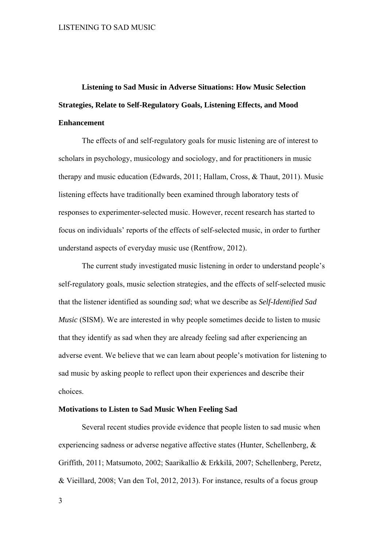# **Listening to Sad Music in Adverse Situations: How Music Selection Strategies, Relate to Self-Regulatory Goals, Listening Effects, and Mood Enhancement**

 The effects of and self-regulatory goals for music listening are of interest to scholars in psychology, musicology and sociology, and for practitioners in music therapy and music education (Edwards, 2011; Hallam, Cross, & Thaut, 2011). Music listening effects have traditionally been examined through laboratory tests of responses to experimenter-selected music. However, recent research has started to focus on individuals' reports of the effects of self-selected music, in order to further understand aspects of everyday music use (Rentfrow, 2012).

The current study investigated music listening in order to understand people's self-regulatory goals, music selection strategies, and the effects of self-selected music that the listener identified as sounding *sad*; what we describe as *Self-Identified Sad Music* (SISM). We are interested in why people sometimes decide to listen to music that they identify as sad when they are already feeling sad after experiencing an adverse event. We believe that we can learn about people's motivation for listening to sad music by asking people to reflect upon their experiences and describe their choices.

### **Motivations to Listen to Sad Music When Feeling Sad**

Several recent studies provide evidence that people listen to sad music when experiencing sadness or adverse negative affective states (Hunter, Schellenberg, & Griffith, 2011; Matsumoto, 2002; Saarikallio & Erkkilä, 2007; Schellenberg, Peretz, & Vieillard, 2008; Van den Tol, 2012, 2013). For instance, results of a focus group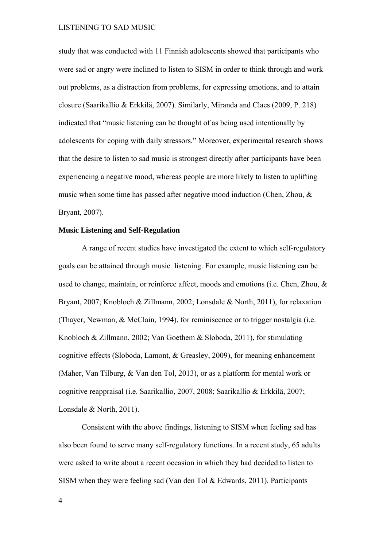study that was conducted with 11 Finnish adolescents showed that participants who were sad or angry were inclined to listen to SISM in order to think through and work out problems, as a distraction from problems, for expressing emotions, and to attain closure (Saarikallio & Erkkilä, 2007). Similarly, Miranda and Claes (2009, P. 218) indicated that "music listening can be thought of as being used intentionally by adolescents for coping with daily stressors." Moreover, experimental research shows that the desire to listen to sad music is strongest directly after participants have been experiencing a negative mood, whereas people are more likely to listen to uplifting music when some time has passed after negative mood induction (Chen, Zhou, & Bryant, 2007).

# **Music Listening and Self-Regulation**

 A range of recent studies have investigated the extent to which self-regulatory goals can be attained through music listening. For example, music listening can be used to change, maintain, or reinforce affect, moods and emotions (i.e. Chen, Zhou, & Bryant, 2007; Knobloch & Zillmann, 2002; Lonsdale & North, 2011), for relaxation (Thayer, Newman, & McClain, 1994), for reminiscence or to trigger nostalgia (i.e. Knobloch & Zillmann, 2002; Van Goethem & Sloboda, 2011), for stimulating cognitive effects (Sloboda, Lamont, & Greasley, 2009), for meaning enhancement (Maher, Van Tilburg, & Van den Tol, 2013), or as a platform for mental work or cognitive reappraisal (i.e. Saarikallio, 2007, 2008; Saarikallio & Erkkilä, 2007; Lonsdale & North, 2011).

 Consistent with the above findings, listening to SISM when feeling sad has also been found to serve many self-regulatory functions. In a recent study, 65 adults were asked to write about a recent occasion in which they had decided to listen to SISM when they were feeling sad (Van den Tol & Edwards, 2011). Participants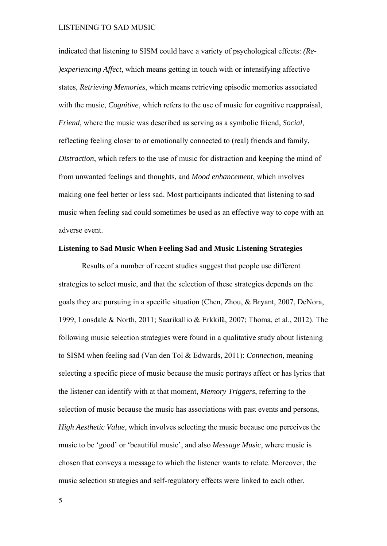indicated that listening to SISM could have a variety of psychological effects: *(Re- )experiencing Affect*, which means getting in touch with or intensifying affective states, *Retrieving Memories*, which means retrieving episodic memories associated with the music, *Cognitive*, which refers to the use of music for cognitive reappraisal, *Friend*, where the music was described as serving as a symbolic friend, *Social*, reflecting feeling closer to or emotionally connected to (real) friends and family, *Distraction*, which refers to the use of music for distraction and keeping the mind of from unwanted feelings and thoughts, and *Mood enhancement*, which involves making one feel better or less sad. Most participants indicated that listening to sad music when feeling sad could sometimes be used as an effective way to cope with an adverse event.

# **Listening to Sad Music When Feeling Sad and Music Listening Strategies**

Results of a number of recent studies suggest that people use different strategies to select music, and that the selection of these strategies depends on the goals they are pursuing in a specific situation (Chen, Zhou, & Bryant, 2007, DeNora, 1999, Lonsdale & North, 2011; Saarikallio & Erkkilä, 2007; Thoma, et al., 2012). The following music selection strategies were found in a qualitative study about listening to SISM when feeling sad (Van den Tol & Edwards, 2011): *Connection*, meaning selecting a specific piece of music because the music portrays affect or has lyrics that the listener can identify with at that moment, *Memory Triggers*, referring to the selection of music because the music has associations with past events and persons, *High Aesthetic Value*, which involves selecting the music because one perceives the music to be 'good' or 'beautiful music', and also *Message Music*, where music is chosen that conveys a message to which the listener wants to relate. Moreover, the music selection strategies and self-regulatory effects were linked to each other.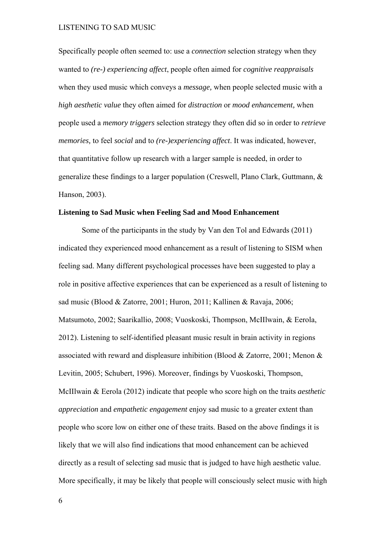Specifically people often seemed to: use a *connection* selection strategy when they wanted to *(re-) experiencing affect*, people often aimed for *cognitive reappraisals* when they used music which conveys a *message,* when people selected music with a *high aesthetic value* they often aimed for *distraction* or *mood enhancement,* when people used a *memory triggers* selection strategy they often did so in order to *retrieve memories,* to feel *social* and to *(re-)experiencing affect*. It was indicated, however, that quantitative follow up research with a larger sample is needed, in order to generalize these findings to a larger population (Creswell, Plano Clark, Guttmann, & Hanson, 2003).

# **Listening to Sad Music when Feeling Sad and Mood Enhancement**

Some of the participants in the study by Van den Tol and Edwards (2011) indicated they experienced mood enhancement as a result of listening to SISM when feeling sad. Many different psychological processes have been suggested to play a role in positive affective experiences that can be experienced as a result of listening to sad music (Blood & Zatorre, 2001; Huron, 2011; Kallinen & Ravaja, 2006; Matsumoto, 2002; Saarikallio, 2008; Vuoskoski, Thompson, McIIlwain, & Eerola, 2012). Listening to self-identified pleasant music result in brain activity in regions associated with reward and displeasure inhibition (Blood & Zatorre, 2001; Menon & Levitin, 2005; Schubert, 1996). Moreover, findings by Vuoskoski, Thompson, McIIlwain & Eerola (2012) indicate that people who score high on the traits *aesthetic appreciation* and *empathetic engagement* enjoy sad music to a greater extent than people who score low on either one of these traits. Based on the above findings it is likely that we will also find indications that mood enhancement can be achieved directly as a result of selecting sad music that is judged to have high aesthetic value. More specifically, it may be likely that people will consciously select music with high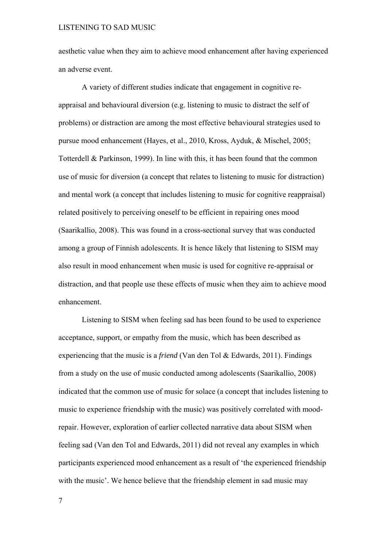aesthetic value when they aim to achieve mood enhancement after having experienced an adverse event.

A variety of different studies indicate that engagement in cognitive reappraisal and behavioural diversion (e.g. listening to music to distract the self of problems) or distraction are among the most effective behavioural strategies used to pursue mood enhancement (Hayes, et al., 2010, Kross, Ayduk, & Mischel, 2005; Totterdell & Parkinson, 1999). In line with this, it has been found that the common use of music for diversion (a concept that relates to listening to music for distraction) and mental work (a concept that includes listening to music for cognitive reappraisal) related positively to perceiving oneself to be efficient in repairing ones mood (Saarikallio, 2008). This was found in a cross-sectional survey that was conducted among a group of Finnish adolescents. It is hence likely that listening to SISM may also result in mood enhancement when music is used for cognitive re-appraisal or distraction, and that people use these effects of music when they aim to achieve mood enhancement.

 Listening to SISM when feeling sad has been found to be used to experience acceptance, support, or empathy from the music, which has been described as experiencing that the music is a *friend* (Van den Tol & Edwards, 2011). Findings from a study on the use of music conducted among adolescents (Saarikallio, 2008) indicated that the common use of music for solace (a concept that includes listening to music to experience friendship with the music) was positively correlated with moodrepair. However, exploration of earlier collected narrative data about SISM when feeling sad (Van den Tol and Edwards, 2011) did not reveal any examples in which participants experienced mood enhancement as a result of 'the experienced friendship with the music'. We hence believe that the friendship element in sad music may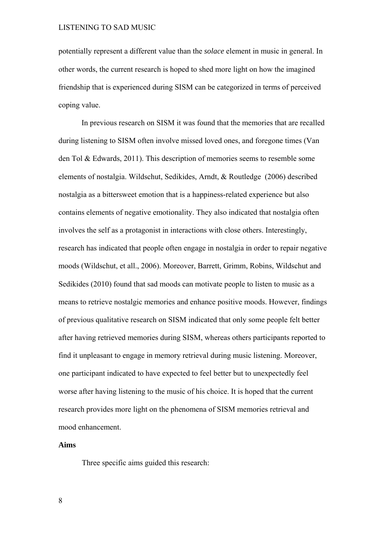potentially represent a different value than the *solace* element in music in general. In other words, the current research is hoped to shed more light on how the imagined friendship that is experienced during SISM can be categorized in terms of perceived coping value.

 In previous research on SISM it was found that the memories that are recalled during listening to SISM often involve missed loved ones, and foregone times (Van den Tol & Edwards, 2011). This description of memories seems to resemble some elements of nostalgia. Wildschut, Sedikides, Arndt, & Routledge (2006) described nostalgia as a bittersweet emotion that is a happiness-related experience but also contains elements of negative emotionality. They also indicated that nostalgia often involves the self as a protagonist in interactions with close others. Interestingly, research has indicated that people often engage in nostalgia in order to repair negative moods (Wildschut, et all., 2006). Moreover, Barrett, Grimm, Robins, Wildschut and Sedikides (2010) found that sad moods can motivate people to listen to music as a means to retrieve nostalgic memories and enhance positive moods. However, findings of previous qualitative research on SISM indicated that only some people felt better after having retrieved memories during SISM, whereas others participants reported to find it unpleasant to engage in memory retrieval during music listening. Moreover, one participant indicated to have expected to feel better but to unexpectedly feel worse after having listening to the music of his choice. It is hoped that the current research provides more light on the phenomena of SISM memories retrieval and mood enhancement.

### **Aims**

Three specific aims guided this research: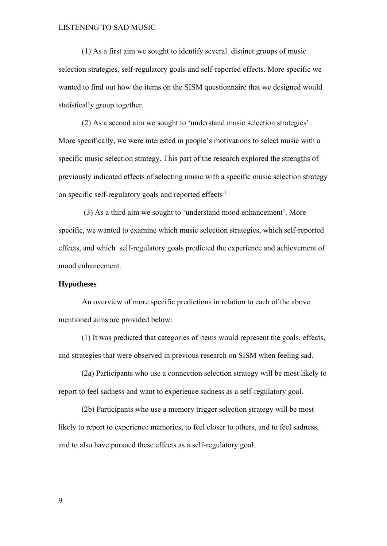(1) As a first aim we sought to identify several distinct groups of music selection strategies, self-regulatory goals and self-reported effects. More specific we wanted to find out how the items on the SISM questionnaire that we designed would statistically group together.

(2) As a second aim we sought to 'understand music selection strategies'. More specifically, we were interested in people's motivations to select music with a specific music selection strategy. This part of the research explored the strengths of previously indicated effects of selecting music with a specific music selection strategy on specific self-regulatory goals and reported effects<sup>1</sup>

 (3) As a third aim we sought to 'understand mood enhancement'. More specific, we wanted to examine which music selection strategies, which self-reported effects, and which self-regulatory goals predicted the experience and achievement of mood enhancement.

### **Hypotheses**

An overview of more specific predictions in relation to each of the above mentioned aims are provided below:

 (1) It was predicted that categories of items would represent the goals, effects, and strategies that were observed in previous research on SISM when feeling sad.

 (2a) Participants who use a connection selection strategy will be most likely to report to feel sadness and want to experience sadness as a self-regulatory goal.

 (2b) Participants who use a memory trigger selection strategy will be most likely to report to experience memories, to feel closer to others, and to feel sadness, and to also have pursued these effects as a self-regulatory goal.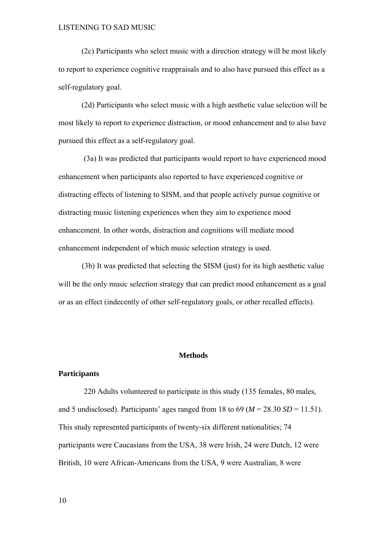(2c) Participants who select music with a direction strategy will be most likely to report to experience cognitive reappraisals and to also have pursued this effect as a self-regulatory goal.

(2d) Participants who select music with a high aesthetic value selection will be most likely to report to experience distraction, or mood enhancement and to also have pursued this effect as a self-regulatory goal.

 (3a) It was predicted that participants would report to have experienced mood enhancement when participants also reported to have experienced cognitive or distracting effects of listening to SISM, and that people actively pursue cognitive or distracting music listening experiences when they aim to experience mood enhancement. In other words, distraction and cognitions will mediate mood enhancement independent of which music selection strategy is used.

(3b) It was predicted that selecting the SISM (just) for its high aesthetic value will be the only music selection strategy that can predict mood enhancement as a goal or as an effect (indecently of other self-regulatory goals, or other recalled effects).

#### **Methods**

#### **Participants**

 220 Adults volunteered to participate in this study (135 females, 80 males, and 5 undisclosed). Participants' ages ranged from 18 to 69 ( $M = 28.30$  *SD* = 11.51). This study represented participants of twenty-six different nationalities; 74 participants were Caucasians from the USA, 38 were Irish, 24 were Dutch, 12 were British, 10 were African-Americans from the USA, 9 were Australian, 8 were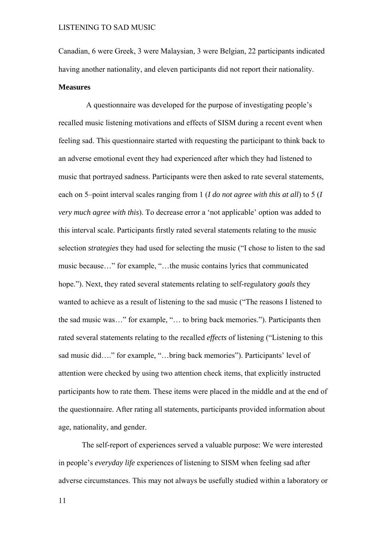Canadian, 6 were Greek, 3 were Malaysian, 3 were Belgian, 22 participants indicated having another nationality, and eleven participants did not report their nationality. **Measures** 

 A questionnaire was developed for the purpose of investigating people's recalled music listening motivations and effects of SISM during a recent event when feeling sad. This questionnaire started with requesting the participant to think back to an adverse emotional event they had experienced after which they had listened to music that portrayed sadness. Participants were then asked to rate several statements, each on 5–point interval scales ranging from 1 (*I do not agree with this at all*) to 5 (*I very much agree with this*). To decrease error a 'not applicable' option was added to this interval scale. Participants firstly rated several statements relating to the music selection *strategies* they had used for selecting the music ("I chose to listen to the sad music because…" for example, "…the music contains lyrics that communicated hope."). Next, they rated several statements relating to self-regulatory *goals* they wanted to achieve as a result of listening to the sad music ("The reasons I listened to the sad music was…" for example, "… to bring back memories."). Participants then rated several statements relating to the recalled *effects* of listening ("Listening to this sad music did…." for example, "…bring back memories"). Participants' level of attention were checked by using two attention check items, that explicitly instructed participants how to rate them. These items were placed in the middle and at the end of the questionnaire. After rating all statements, participants provided information about age, nationality, and gender.

The self-report of experiences served a valuable purpose: We were interested in people's *everyday life* experiences of listening to SISM when feeling sad after adverse circumstances. This may not always be usefully studied within a laboratory or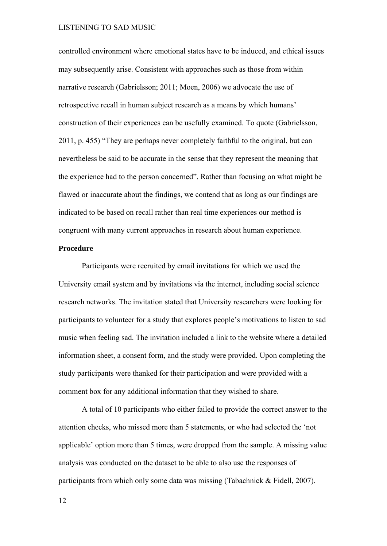controlled environment where emotional states have to be induced, and ethical issues may subsequently arise. Consistent with approaches such as those from within narrative research (Gabrielsson; 2011; Moen, 2006) we advocate the use of retrospective recall in human subject research as a means by which humans' construction of their experiences can be usefully examined. To quote (Gabrielsson, 2011, p. 455) "They are perhaps never completely faithful to the original, but can nevertheless be said to be accurate in the sense that they represent the meaning that the experience had to the person concerned". Rather than focusing on what might be flawed or inaccurate about the findings, we contend that as long as our findings are indicated to be based on recall rather than real time experiences our method is congruent with many current approaches in research about human experience.

# **Procedure**

 Participants were recruited by email invitations for which we used the University email system and by invitations via the internet, including social science research networks. The invitation stated that University researchers were looking for participants to volunteer for a study that explores people's motivations to listen to sad music when feeling sad. The invitation included a link to the website where a detailed information sheet, a consent form, and the study were provided. Upon completing the study participants were thanked for their participation and were provided with a comment box for any additional information that they wished to share.

 A total of 10 participants who either failed to provide the correct answer to the attention checks, who missed more than 5 statements, or who had selected the 'not applicable' option more than 5 times, were dropped from the sample. A missing value analysis was conducted on the dataset to be able to also use the responses of participants from which only some data was missing (Tabachnick & Fidell, 2007).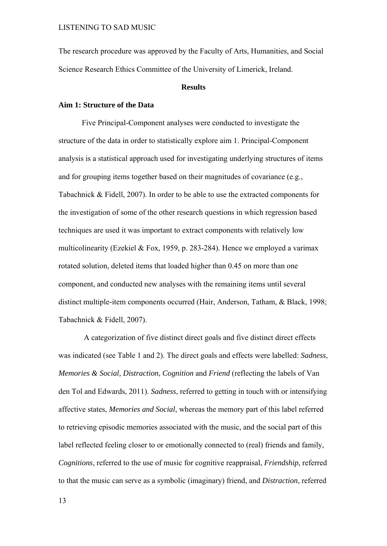The research procedure was approved by the Faculty of Arts, Humanities, and Social Science Research Ethics Committee of the University of Limerick, Ireland.

#### **Results**

# **Aim 1: Structure of the Data**

Five Principal-Component analyses were conducted to investigate the structure of the data in order to statistically explore aim 1. Principal-Component analysis is a statistical approach used for investigating underlying structures of items and for grouping items together based on their magnitudes of covariance (e.g., Tabachnick & Fidell, 2007). In order to be able to use the extracted components for the investigation of some of the other research questions in which regression based techniques are used it was important to extract components with relatively low multicolinearity (Ezekiel & Fox, 1959, p. 283-284). Hence we employed a varimax rotated solution, deleted items that loaded higher than 0.45 on more than one component, and conducted new analyses with the remaining items until several distinct multiple-item components occurred (Hair, Anderson, Tatham, & Black, 1998; Tabachnick & Fidell, 2007).

 A categorization of five distinct direct goals and five distinct direct effects was indicated (see Table 1 and 2). The direct goals and effects were labelled: *Sadness*, *Memories & Social, Distraction*, *Cognition* and *Friend* (reflecting the labels of Van den Tol and Edwards, 2011). *Sadness*, referred to getting in touch with or intensifying affective states, *Memories and Social*, whereas the memory part of this label referred to retrieving episodic memories associated with the music, and the social part of this label reflected feeling closer to or emotionally connected to (real) friends and family, *Cognitions*, referred to the use of music for cognitive reappraisal, *Friendship*, referred to that the music can serve as a symbolic (imaginary) friend, and *Distraction*, referred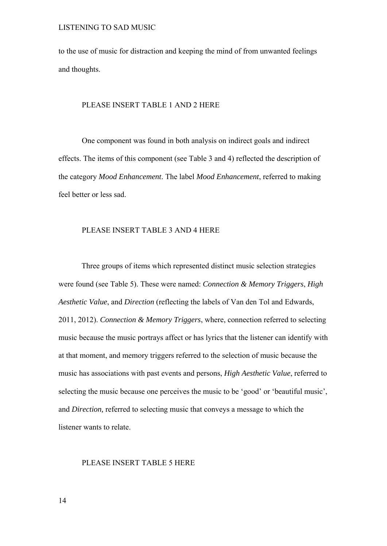to the use of music for distraction and keeping the mind of from unwanted feelings and thoughts.

### PLEASE INSERT TABLE 1 AND 2 HERE

 One component was found in both analysis on indirect goals and indirect effects. The items of this component (see Table 3 and 4) reflected the description of the category *Mood Enhancement*. The label *Mood Enhancement*, referred to making feel better or less sad.

# PLEASE INSERT TABLE 3 AND 4 HERE

 Three groups of items which represented distinct music selection strategies were found (see Table 5). These were named: *Connection & Memory Triggers*, *High Aesthetic Value*, and *Direction* (reflecting the labels of Van den Tol and Edwards, 2011, 2012). *Connection & Memory Triggers*, where, connection referred to selecting music because the music portrays affect or has lyrics that the listener can identify with at that moment, and memory triggers referred to the selection of music because the music has associations with past events and persons, *High Aesthetic Value*, referred to selecting the music because one perceives the music to be 'good' or 'beautiful music', and *Direction,* referred to selecting music that conveys a message to which the listener wants to relate.

### PLEASE INSERT TABLE 5 HERE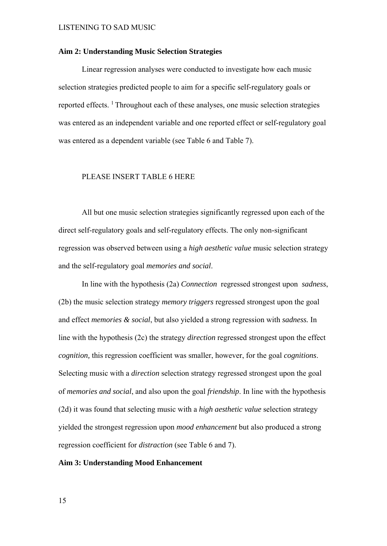#### **Aim 2: Understanding Music Selection Strategies**

Linear regression analyses were conducted to investigate how each music selection strategies predicted people to aim for a specific self-regulatory goals or reported effects. 1 Throughout each of these analyses, one music selection strategies was entered as an independent variable and one reported effect or self-regulatory goal was entered as a dependent variable (see Table 6 and Table 7).

### PLEASE INSERT TABLE 6 HERE

All but one music selection strategies significantly regressed upon each of the direct self-regulatory goals and self-regulatory effects. The only non-significant regression was observed between using a *high aesthetic value* music selection strategy and the self-regulatory goal *memories and social*.

In line with the hypothesis (2a) *Connection* regressed strongest upon *sadness*, (2b) the music selection strategy *memory triggers* regressed strongest upon the goal and effect *memories & social*, but also yielded a strong regression with *sadness.* In line with the hypothesis (2c) the strategy *direction* regressed strongest upon the effect *cognition,* this regression coefficient was smaller, however, for the goal *cognitions*. Selecting music with a *direction* selection strategy regressed strongest upon the goal of *memories and social*, and also upon the goal *friendship*. In line with the hypothesis (2d) it was found that *s*electing music with a *high aesthetic value* selection strategy yielded the strongest regression upon *mood enhancement* but also produced a strong regression coefficient for *distraction* (see Table 6 and 7).

#### **Aim 3: Understanding Mood Enhancement**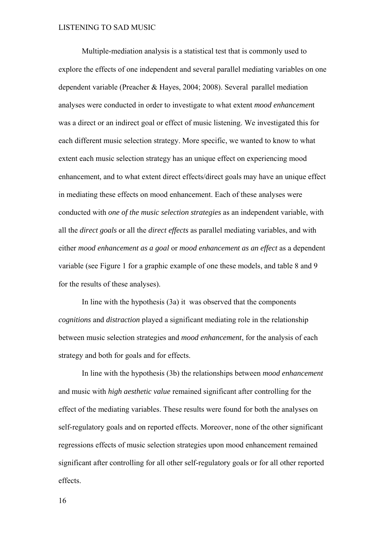Multiple-mediation analysis is a statistical test that is commonly used to explore the effects of one independent and several parallel mediating variables on one dependent variable (Preacher & Hayes, 2004; 2008). Several parallel mediation analyses were conducted in order to investigate to what extent *mood enhancemen*t was a direct or an indirect goal or effect of music listening. We investigated this for each different music selection strategy. More specific, we wanted to know to what extent each music selection strategy has an unique effect on experiencing mood enhancement, and to what extent direct effects/direct goals may have an unique effect in mediating these effects on mood enhancement. Each of these analyses were conducted with *one of the music selection strategies* as an independent variable, with all the *direct goals* or all the *direct effects* as parallel mediating variables, and with either *mood enhancement as a goal* or *mood enhancement as an effect* as a dependent variable (see Figure 1 for a graphic example of one these models, and table 8 and 9 for the results of these analyses).

In line with the hypothesis (3a) it was observed that the components *cognitions* and *distraction* played a significant mediating role in the relationship between music selection strategies and *mood enhancement*, for the analysis of each strategy and both for goals and for effects.

In line with the hypothesis (3b) the relationships between *mood enhancement* and music with *high aesthetic value* remained significant after controlling for the effect of the mediating variables. These results were found for both the analyses on self-regulatory goals and on reported effects. Moreover, none of the other significant regressions effects of music selection strategies upon mood enhancement remained significant after controlling for all other self-regulatory goals or for all other reported effects.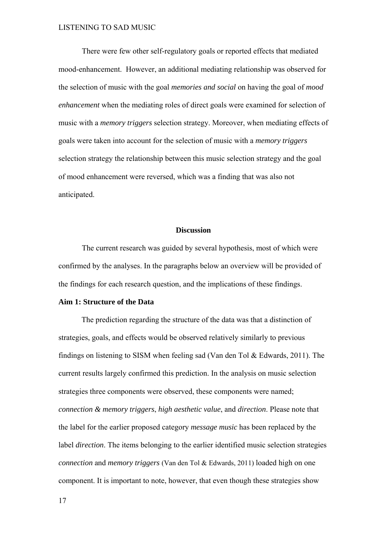There were few other self-regulatory goals or reported effects that mediated mood-enhancement. However, an additional mediating relationship was observed for the selection of music with the goal *memories and social* on having the goal of *mood enhancement* when the mediating roles of direct goals were examined for selection of music with a *memory triggers* selection strategy. Moreover, when mediating effects of goals were taken into account for the selection of music with a *memory triggers* selection strategy the relationship between this music selection strategy and the goal of mood enhancement were reversed, which was a finding that was also not anticipated.

# **Discussion**

The current research was guided by several hypothesis, most of which were confirmed by the analyses. In the paragraphs below an overview will be provided of the findings for each research question, and the implications of these findings.

### **Aim 1: Structure of the Data**

 The prediction regarding the structure of the data was that a distinction of strategies, goals, and effects would be observed relatively similarly to previous findings on listening to SISM when feeling sad (Van den Tol & Edwards, 2011). The current results largely confirmed this prediction. In the analysis on music selection strategies three components were observed, these components were named; *connection & memory triggers*, *high aesthetic value*, and *direction*. Please note that the label for the earlier proposed category *message music* has been replaced by the label *direction*. The items belonging to the earlier identified music selection strategies *connection* and *memory triggers* (Van den Tol & Edwards, 2011) loaded high on one component. It is important to note, however, that even though these strategies show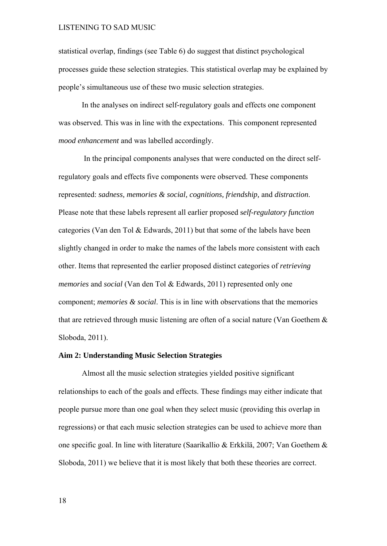statistical overlap, findings (see Table 6) do suggest that distinct psychological processes guide these selection strategies. This statistical overlap may be explained by people's simultaneous use of these two music selection strategies.

In the analyses on indirect self-regulatory goals and effects one component was observed. This was in line with the expectations. This component represented *mood enhancement* and was labelled accordingly.

In the principal components analyses that were conducted on the direct selfregulatory goals and effects five components were observed. These components represented: *sadness, memories & social, cognitions, friendship,* and *distraction*. Please note that these labels represent all earlier proposed s*elf-regulatory function*  categories (Van den Tol & Edwards, 2011) but that some of the labels have been slightly changed in order to make the names of the labels more consistent with each other. Items that represented the earlier proposed distinct categories of *retrieving memories* and *social* (Van den Tol & Edwards, 2011) represented only one component; *memories & social*. This is in line with observations that the memories that are retrieved through music listening are often of a social nature (Van Goethem & Sloboda, 2011).

# **Aim 2: Understanding Music Selection Strategies**

Almost all the music selection strategies yielded positive significant relationships to each of the goals and effects. These findings may either indicate that people pursue more than one goal when they select music (providing this overlap in regressions) or that each music selection strategies can be used to achieve more than one specific goal. In line with literature (Saarikallio & Erkkilä, 2007; Van Goethem & Sloboda, 2011) we believe that it is most likely that both these theories are correct.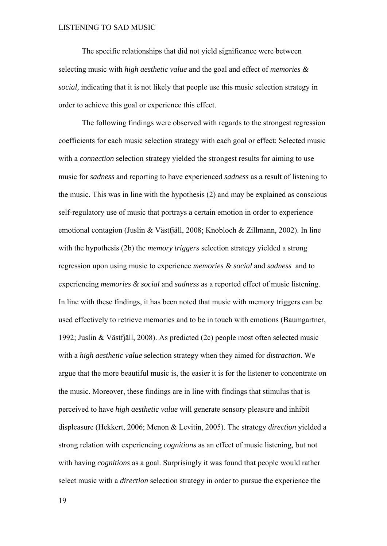The specific relationships that did not yield significance were between selecting music with *high aesthetic value* and the goal and effect of *memories & social,* indicating that it is not likely that people use this music selection strategy in order to achieve this goal or experience this effect.

The following findings were observed with regards to the strongest regression coefficients for each music selection strategy with each goal or effect: Selected music with a *connection* selection strategy yielded the strongest results for aiming to use music for *sadness* and reporting to have experienced *sadness* as a result of listening to the music. This was in line with the hypothesis (2) and may be explained as conscious self-regulatory use of music that portrays a certain emotion in order to experience emotional contagion (Juslin & Västfjäll, 2008; Knobloch & Zillmann, 2002). In line with the hypothesis (2b) the *memory triggers* selection strategy yielded a strong regression upon using music to experience *memories & social* and *sadness* and to experiencing *memories & social* and *sadness* as a reported effect of music listening. In line with these findings, it has been noted that music with memory triggers can be used effectively to retrieve memories and to be in touch with emotions (Baumgartner, 1992; Juslin & Västfjäll, 2008). As predicted (2c) people most often selected music with a *high aesthetic value* selection strategy when they aimed for *distraction*. We argue that the more beautiful music is, the easier it is for the listener to concentrate on the music. Moreover, these findings are in line with findings that stimulus that is perceived to have *high aesthetic value* will generate sensory pleasure and inhibit displeasure (Hekkert, 2006; Menon & Levitin, 2005). The strategy *direction* yielded a strong relation with experiencing *cognitions* as an effect of music listening*,* but not with having *cognitions* as a goal. Surprisingly it was found that people would rather select music with a *direction* selection strategy in order to pursue the experience the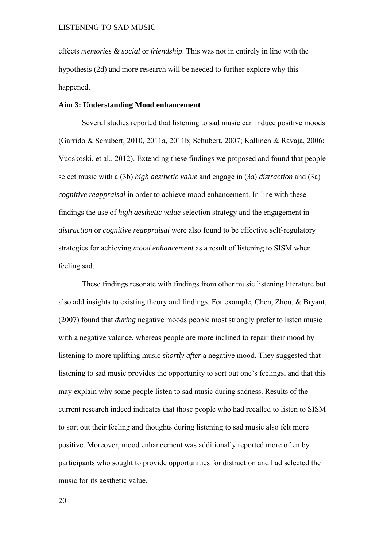effects *memories & social* or *friendship*. This was not in entirely in line with the hypothesis (2d) and more research will be needed to further explore why this happened.

# **Aim 3: Understanding Mood enhancement**

Several studies reported that listening to sad music can induce positive moods (Garrido & Schubert, 2010, 2011a, 2011b; Schubert, 2007; Kallinen & Ravaja, 2006; Vuoskoski, et al., 2012). Extending these findings we proposed and found that people select music with a (3b) *high aesthetic value* and engage in (3a) *distraction* and (3a) *cognitive reappraisal* in order to achieve mood enhancement. In line with these findings the use of *high aesthetic value* selection strategy and the engagement in *distraction* or *cognitive reappraisal* were also found to be effective self-regulatory strategies for achieving *mood enhancement* as a result of listening to SISM when feeling sad.

These findings resonate with findings from other music listening literature but also add insights to existing theory and findings. For example, Chen, Zhou, & Bryant, (2007) found that *during* negative moods people most strongly prefer to listen music with a negative valance, whereas people are more inclined to repair their mood by listening to more uplifting music *shortly after* a negative mood. They suggested that listening to sad music provides the opportunity to sort out one's feelings, and that this may explain why some people listen to sad music during sadness. Results of the current research indeed indicates that those people who had recalled to listen to SISM to sort out their feeling and thoughts during listening to sad music also felt more positive. Moreover, mood enhancement was additionally reported more often by participants who sought to provide opportunities for distraction and had selected the music for its aesthetic value.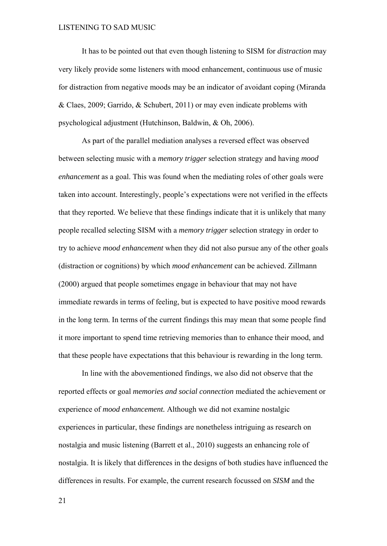It has to be pointed out that even though listening to SISM for *distraction* may very likely provide some listeners with mood enhancement, continuous use of music for distraction from negative moods may be an indicator of avoidant coping (Miranda & Claes, 2009; Garrido, & Schubert, 2011) or may even indicate problems with psychological adjustment (Hutchinson, Baldwin, & Oh, 2006).

As part of the parallel mediation analyses a reversed effect was observed between selecting music with a *memory trigger* selection strategy and having *mood enhancement* as a goal. This was found when the mediating roles of other goals were taken into account. Interestingly, people's expectations were not verified in the effects that they reported. We believe that these findings indicate that it is unlikely that many people recalled selecting SISM with a *memory trigger* selection strategy in order to try to achieve *mood enhancement* when they did not also pursue any of the other goals (distraction or cognitions) by which *mood enhancement* can be achieved. Zillmann (2000) argued that people sometimes engage in behaviour that may not have immediate rewards in terms of feeling, but is expected to have positive mood rewards in the long term. In terms of the current findings this may mean that some people find it more important to spend time retrieving memories than to enhance their mood, and that these people have expectations that this behaviour is rewarding in the long term.

In line with the abovementioned findings, we also did not observe that the reported effects or goal *memories and social connection* mediated the achievement or experience of *mood enhancement.* Although we did not examine nostalgic experiences in particular, these findings are nonetheless intriguing as research on nostalgia and music listening (Barrett et al., 2010) suggests an enhancing role of nostalgia. It is likely that differences in the designs of both studies have influenced the differences in results. For example, the current research focussed on *SISM* and the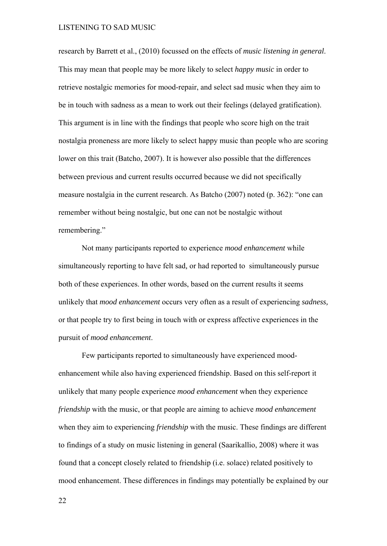research by Barrett et al., (2010) focussed on the effects of *music listening in general*. This may mean that people may be more likely to select *happy music* in order to retrieve nostalgic memories for mood-repair, and select sad music when they aim to be in touch with sadness as a mean to work out their feelings (delayed gratification). This argument is in line with the findings that people who score high on the trait nostalgia proneness are more likely to select happy music than people who are scoring lower on this trait (Batcho, 2007). It is however also possible that the differences between previous and current results occurred because we did not specifically measure nostalgia in the current research. As Batcho (2007) noted (p. 362): "one can remember without being nostalgic, but one can not be nostalgic without remembering."

Not many participants reported to experience *mood enhancement* while simultaneously reporting to have felt sad*,* or had reported to simultaneously pursue both of these experiences. In other words, based on the current results it seems unlikely that *mood enhancement* occurs very often as a result of experiencing *sadness,* or that people try to first being in touch with or express affective experiences in the pursuit of *mood enhancement*.

Few participants reported to simultaneously have experienced moodenhancement while also having experienced friendship. Based on this self-report it unlikely that many people experience *mood enhancement* when they experience *friendship* with the music, or that people are aiming to achieve *mood enhancement*  when they aim to experiencing *friendship* with the music. These findings are different to findings of a study on music listening in general (Saarikallio, 2008) where it was found that a concept closely related to friendship (i.e. solace) related positively to mood enhancement. These differences in findings may potentially be explained by our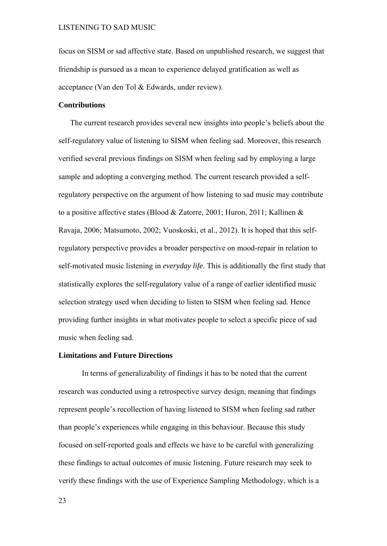focus on SISM or sad affective state. Based on unpublished research, we suggest that friendship is pursued as a mean to experience delayed gratification as well as acceptance (Van den Tol & Edwards, under review).

# **Contributions**

 The current research provides several new insights into people's beliefs about the self-regulatory value of listening to SISM when feeling sad. Moreover, this research verified several previous findings on SISM when feeling sad by employing a large sample and adopting a converging method. The current research provided a selfregulatory perspective on the argument of how listening to sad music may contribute to a positive affective states (Blood & Zatorre, 2001; Huron, 2011; Kallinen & Ravaja, 2006; Matsumoto, 2002; Vuoskoski, et al., 2012). It is hoped that this selfregulatory perspective provides a broader perspective on mood-repair in relation to self-motivated music listening in *everyday life*. This is additionally the first study that statistically explores the self-regulatory value of a range of earlier identified music selection strategy used when deciding to listen to SISM when feeling sad. Hence providing further insights in what motivates people to select a specific piece of sad music when feeling sad.

# **Limitations and Future Directions**

In terms of generalizability of findings it has to be noted that the current research was conducted using a retrospective survey design, meaning that findings represent people's recollection of having listened to SISM when feeling sad rather than people's experiences while engaging in this behaviour. Because this study focused on self-reported goals and effects we have to be careful with generalizing these findings to actual outcomes of music listening. Future research may seek to verify these findings with the use of Experience Sampling Methodology, which is a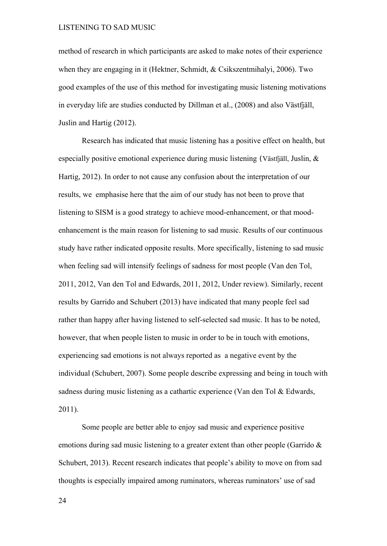method of research in which participants are asked to make notes of their experience when they are engaging in it (Hektner, Schmidt, & Csikszentmihalyi, 2006). Two good examples of the use of this method for investigating music listening motivations in everyday life are studies conducted by Dillman et al., (2008) and also Västfjäll, Juslin and Hartig (2012).

Research has indicated that music listening has a positive effect on health, but especially positive emotional experience during music listening (Västfjäll, Juslin, & Hartig, 2012). In order to not cause any confusion about the interpretation of our results, we emphasise here that the aim of our study has not been to prove that listening to SISM is a good strategy to achieve mood-enhancement, or that moodenhancement is the main reason for listening to sad music. Results of our continuous study have rather indicated opposite results. More specifically, listening to sad music when feeling sad will intensify feelings of sadness for most people (Van den Tol, 2011, 2012, Van den Tol and Edwards, 2011, 2012, Under review). Similarly, recent results by Garrido and Schubert (2013) have indicated that many people feel sad rather than happy after having listened to self-selected sad music. It has to be noted, however, that when people listen to music in order to be in touch with emotions, experiencing sad emotions is not always reported as a negative event by the individual (Schubert, 2007). Some people describe expressing and being in touch with sadness during music listening as a cathartic experience (Van den Tol & Edwards, 2011).

Some people are better able to enjoy sad music and experience positive emotions during sad music listening to a greater extent than other people (Garrido & Schubert, 2013). Recent research indicates that people's ability to move on from sad thoughts is especially impaired among ruminators, whereas ruminators' use of sad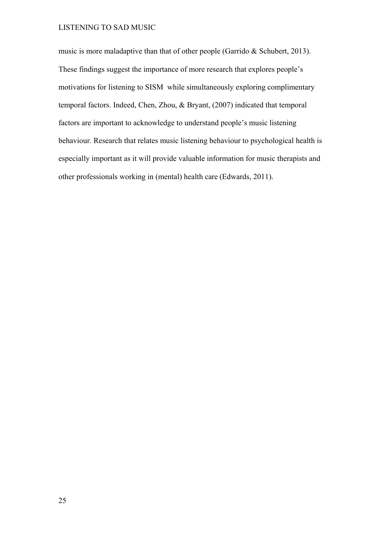music is more maladaptive than that of other people (Garrido & Schubert, 2013). These findings suggest the importance of more research that explores people's motivations for listening to SISM while simultaneously exploring complimentary temporal factors. Indeed, Chen, Zhou, & Bryant, (2007) indicated that temporal factors are important to acknowledge to understand people's music listening behaviour. Research that relates music listening behaviour to psychological health is especially important as it will provide valuable information for music therapists and other professionals working in (mental) health care (Edwards, 2011).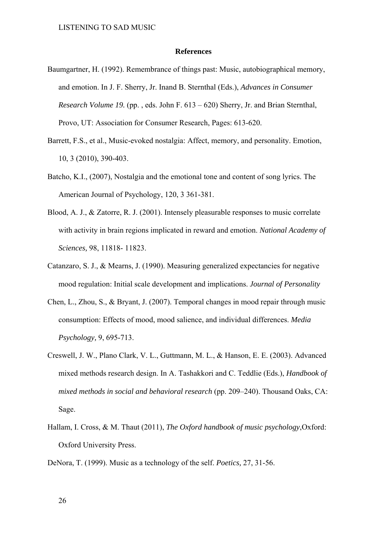#### **References**

- Baumgartner, H. (1992). Remembrance of things past: Music, autobiographical memory, and emotion. In J. F. Sherry, Jr. Inand B. Sternthal (Eds.), *Advances in Consumer Research Volume 19.* (pp. , eds. John F. 613 – 620) Sherry, Jr. and Brian Sternthal, Provo, UT: Association for Consumer Research, Pages: 613-620.
- Barrett, F.S., et al., Music-evoked nostalgia: Affect, memory, and personality. Emotion, 10, 3 (2010), 390-403.
- Batcho, K.I., (2007), Nostalgia and the emotional tone and content of song lyrics. The American Journal of Psychology, 120, 3 361-381.
- Blood, A. J., & Zatorre, R. J. (2001). Intensely pleasurable responses to music correlate with activity in brain regions implicated in reward and emotion. *National Academy of Sciences,* 98, 11818- 11823.
- Catanzaro, S. J., & Mearns, J. (1990). Measuring generalized expectancies for negative mood regulation: Initial scale development and implications. *Journal of Personality*
- Chen, L., Zhou, S., & Bryant, J. (2007). Temporal changes in mood repair through music consumption: Effects of mood, mood salience, and individual differences. *Media Psychology,* 9, 695-713.
- Creswell, J. W., Plano Clark, V. L., Guttmann, M. L., & Hanson, E. E. (2003). Advanced mixed methods research design. In A. Tashakkori and C. Teddlie (Eds.), *Handbook of mixed methods in social and behavioral research* (pp. 209–240). Thousand Oaks, CA: Sage.
- Hallam, I. Cross, & M. Thaut (2011), *The Oxford handbook of music psychology*,Oxford: Oxford University Press.
- DeNora, T. (1999). Music as a technology of the self. *Poetics,* 27, 31-56.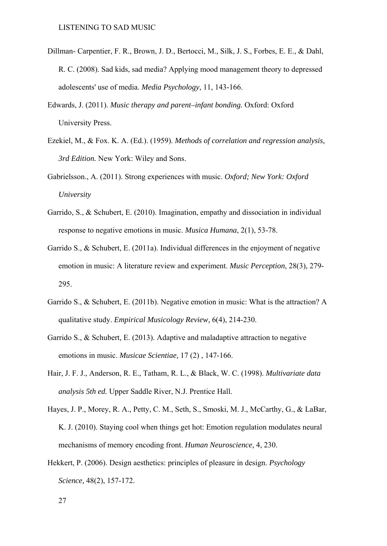- Dillman- Carpentier, F. R., Brown, J. D., Bertocci, M., Silk, J. S., Forbes, E. E., & Dahl, R. C. (2008). Sad kids, sad media? Applying mood management theory to depressed adolescents' use of media. *Media Psychology*, 11, 143-166.
- Edwards, J. (2011). *Music therapy and parent–infant bonding.* Oxford: Oxford University Press.
- Ezekiel, M., & Fox. K. A. (Ed.). (1959). *Methods of correlation and regression analysis, 3rd Edition.* New York: Wiley and Sons.
- Gabrielsson., A. (2011). Strong experiences with music. *Oxford; New York: Oxford University*
- Garrido, S., & Schubert, E. (2010). Imagination, empathy and dissociation in individual response to negative emotions in music. *Musica Humana*, 2(1), 53-78.
- Garrido S., & Schubert, E. (2011a). Individual differences in the enjoyment of negative emotion in music: A literature review and experiment. *Music Perception*, 28(3), 279- 295.
- Garrido S., & Schubert, E. (2011b). Negative emotion in music: What is the attraction? A qualitative study. *Empirical Musicology Review,* 6(4), 214-230.
- Garrido S., & Schubert, E. (2013). Adaptive and maladaptive attraction to negative emotions in music. *Musicae Scientiae,* 17 (2) , 147-166.
- Hair, J. F. J., Anderson, R. E., Tatham, R. L., & Black, W. C. (1998). *Multivariate data analysis 5th ed.* Upper Saddle River, N.J. Prentice Hall.
- Hayes, J. P., Morey, R. A., Petty, C. M., Seth, S., Smoski, M. J., McCarthy, G., & LaBar, K. J. (2010). Staying cool when things get hot: Emotion regulation modulates neural mechanisms of memory encoding front. *Human Neuroscience,* 4, 230.
- Hekkert, P. (2006). Design aesthetics: principles of pleasure in design. *Psychology Science,* 48(2), 157-172.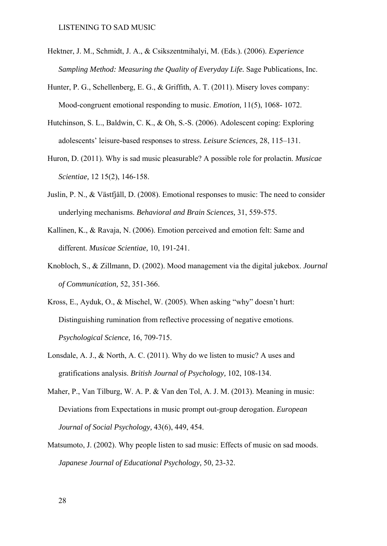- Hektner, J. M., Schmidt, J. A., & Csikszentmihalyi, M. (Eds.). (2006). *Experience Sampling Method: Measuring the Quality of Everyday Life.* Sage Publications, Inc.
- Hunter, P. G., Schellenberg, E. G., & Griffith, A. T. (2011). Misery loves company: Mood-congruent emotional responding to music. *Emotion,* 11(5), 1068- 1072.
- Hutchinson, S. L., Baldwin, C. K., & Oh, S.-S. (2006). Adolescent coping: Exploring adolescents' leisure-based responses to stress. *Leisure Sciences,* 28, 115–131.
- Huron, D. (2011). Why is sad music pleasurable? A possible role for prolactin. *Musicae Scientiae,* 12 15(2), 146-158.
- Juslin, P. N., & Västfjäll, D. (2008). Emotional responses to music: The need to consider underlying mechanisms. *Behavioral and Brain Sciences,* 31, 559-575.
- Kallinen, K., & Ravaja, N. (2006). Emotion perceived and emotion felt: Same and different. *Musicae Scientiae,* 10, 191-241.
- Knobloch, S., & Zillmann, D. (2002). Mood management via the digital jukebox. *Journal of Communication,* 52, 351-366.
- Kross, E., Ayduk, O., & Mischel, W. (2005). When asking "why" doesn't hurt: Distinguishing rumination from reflective processing of negative emotions. *Psychological Science,* 16, 709-715.
- Lonsdale, A. J., & North, A. C. (2011). Why do we listen to music? A uses and gratifications analysis. *British Journal of Psychology,* 102, 108-134.
- Maher, P., Van Tilburg, W. A. P. & Van den Tol, A. J. M. (2013). Meaning in music: Deviations from Expectations in music prompt out-group derogation. *European Journal of Social Psychology,* 43(6), 449, 454.
- Matsumoto, J. (2002). Why people listen to sad music: Effects of music on sad moods. *Japanese Journal of Educational Psychology,* 50, 23-32.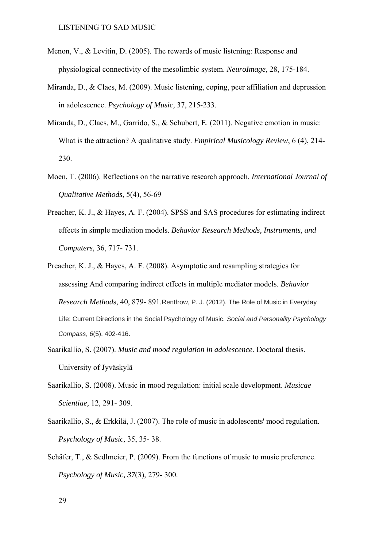- Menon, V., & Levitin, D. (2005). The rewards of music listening: Response and physiological connectivity of the mesolimbic system. *NeuroImage*, 28, 175-184.
- Miranda, D., & Claes, M. (2009). Music listening, coping, peer affiliation and depression in adolescence. *Psychology of Music,* 37, 215-233.
- Miranda, D., Claes, M., Garrido, S., & Schubert, E. (2011). Negative emotion in music: What is the attraction? A qualitative study. *Empirical Musicology Review*, 6 (4), 214- 230.
- Moen, T. (2006). Reflections on the narrative research approach. *International Journal of Qualitative Methods*, 5(4), 56-69
- Preacher, K. J., & Hayes, A. F. (2004). SPSS and SAS procedures for estimating indirect effects in simple mediation models. *Behavior Research Methods, Instruments, and Computers,* 36, 717- 731.
- Preacher, K. J., & Hayes, A. F. (2008). Asymptotic and resampling strategies for assessing And comparing indirect effects in multiple mediator models. *Behavior Research Method*s, 40, 879- 891.Rentfrow, P. J. (2012). The Role of Music in Everyday Life: Current Directions in the Social Psychology of Music. *Social and Personality Psychology Compass*, *6*(5), 402-416.
- Saarikallio, S. (2007). *Music and mood regulation in adolescence.* Doctoral thesis. University of Jyväskylä
- Saarikallio, S. (2008). Music in mood regulation: initial scale development. *Musicae Scientiae,* 12, 291- 309.
- Saarikallio, S., & Erkkilä, J. (2007). The role of music in adolescents' mood regulation. *Psychology of Music,* 35, 35- 38.
- Schäfer, T., & Sedlmeier, P. (2009). From the functions of music to music preference. *Psychology of Music, 37*(3), 279- 300.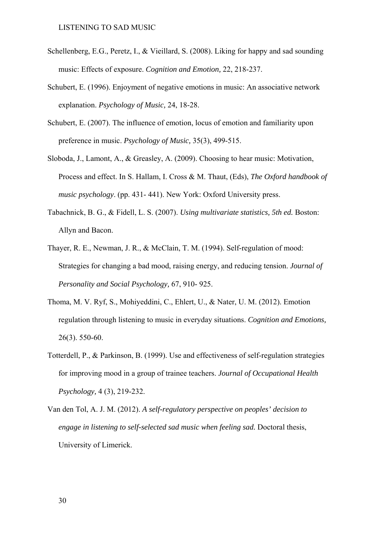- Schellenberg, E.G., Peretz, I., & Vieillard, S. (2008). Liking for happy and sad sounding music: Effects of exposure. *Cognition and Emotion,* 22, 218-237.
- Schubert, E. (1996). Enjoyment of negative emotions in music: An associative network explanation. *Psychology of Music,* 24, 18-28.
- Schubert, E. (2007). The influence of emotion, locus of emotion and familiarity upon preference in music. *Psychology of Music,* 35(3), 499-515.
- Sloboda, J., Lamont, A., & Greasley, A. (2009). Choosing to hear music: Motivation, Process and effect. In S. Hallam, I. Cross & M. Thaut, (Eds), *The Oxford handbook of music psychology*. (pp. 431- 441). New York: Oxford University press.
- Tabachnick, B. G., & Fidell, L. S. (2007). *Using multivariate statistics, 5th ed.* Boston: Allyn and Bacon.
- Thayer, R. E., Newman, J. R., & McClain, T. M. (1994). Self-regulation of mood: Strategies for changing a bad mood, raising energy, and reducing tension. *Journal of Personality and Social Psychology,* 67, 910- 925.
- Thoma, M. V. Ryf, S., Mohiyeddini, C., Ehlert, U., & Nater, U. M. (2012). Emotion regulation through listening to music in everyday situations. *Cognition and Emotions,* 26(3). 550-60.
- Totterdell, P., & Parkinson, B. (1999). Use and effectiveness of self-regulation strategies for improving mood in a group of trainee teachers. *Journal of Occupational Health Psychology,* 4 (3), 219-232.
- Van den Tol, A. J. M. (2012). *A self-regulatory perspective on peoples' decision to engage in listening to self-selected sad music when feeling sad.* Doctoral thesis, University of Limerick.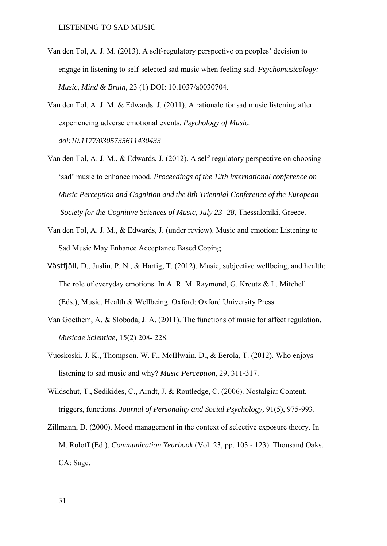- Van den Tol, A. J. M. (2013). A self-regulatory perspective on peoples' decision to engage in listening to self-selected sad music when feeling sad. *Psychomusicology: Music, Mind & Brain,* 23 (1) DOI: 10.1037/a0030704.
- Van den Tol, A. J. M. & Edwards. J. (2011). A rationale for sad music listening after experiencing adverse emotional events. *Psychology of Music. doi:10.1177/0305735611430433*
- Van den Tol, A. J. M., & Edwards, J. (2012). A self-regulatory perspective on choosing 'sad' music to enhance mood. *Proceedings of the 12th international conference on Music Perception and Cognition and the 8th Triennial Conference of the European Society for the Cognitive Sciences of Music, July 23- 28,* Thessaloniki, Greece.
- Van den Tol, A. J. M., & Edwards, J. (under review). Music and emotion: Listening to Sad Music May Enhance Acceptance Based Coping.
- Västfjäll, D., Juslin, P. N., & Hartig, T. (2012). Music, subjective wellbeing, and health: The role of everyday emotions. In A. R. M. Raymond, G. Kreutz & L. Mitchell (Eds.), Music, Health & Wellbeing. Oxford: Oxford University Press.
- Van Goethem, A. & Sloboda, J. A. (2011). The functions of music for affect regulation. *Musicae Scientiae,* 15(2) 208- 228.
- Vuoskoski, J. K., Thompson, W. F., McIIlwain, D., & Eerola, T. (2012). Who enjoys listening to sad music and why? *Music Perception,* 29, 311-317.
- Wildschut, T., Sedikides, C., Arndt, J. & Routledge, C. (2006). Nostalgia: Content, triggers, functions*. Journal of Personality and Social Psychology,* 91(5), 975-993.
- Zillmann, D. (2000). Mood management in the context of selective exposure theory. In M. Roloff (Ed.), *Communication Yearbook* (Vol. 23, pp. 103 - 123). Thousand Oaks, CA: Sage.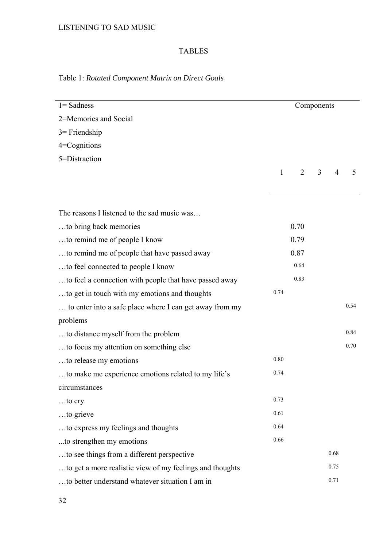# TABLES

# Table 1: *Rotated Component Matrix on Direct Goals*

| $1 =$ Sadness                                            |      |                | Components     |                |      |
|----------------------------------------------------------|------|----------------|----------------|----------------|------|
| 2=Memories and Social                                    |      |                |                |                |      |
| $3$ = Friendship                                         |      |                |                |                |      |
| 4=Cognitions                                             |      |                |                |                |      |
| 5=Distraction                                            |      |                |                |                |      |
|                                                          | 1    | $\overline{2}$ | $\overline{3}$ | $\overline{4}$ | 5    |
|                                                          |      |                |                |                |      |
| The reasons I listened to the sad music was              |      |                |                |                |      |
| to bring back memories                                   |      | 0.70           |                |                |      |
| to remind me of people I know                            |      | 0.79           |                |                |      |
| to remind me of people that have passed away             |      | 0.87           |                |                |      |
| to feel connected to people I know                       |      | 0.64           |                |                |      |
| to feel a connection with people that have passed away   |      | 0.83           |                |                |      |
| to get in touch with my emotions and thoughts            | 0.74 |                |                |                |      |
| to enter into a safe place where I can get away from my  |      |                |                |                | 0.54 |
| problems                                                 |      |                |                |                |      |
| to distance myself from the problem                      |      |                |                |                | 0.84 |
| to focus my attention on something else                  |      |                |                |                | 0.70 |
| to release my emotions                                   | 0.80 |                |                |                |      |
| to make me experience emotions related to my life's      | 0.74 |                |                |                |      |
| circumstances                                            |      |                |                |                |      |
| to cry                                                   | 0.73 |                |                |                |      |
| to grieve                                                | 0.61 |                |                |                |      |
| to express my feelings and thoughts                      | 0.64 |                |                |                |      |
| to strengthen my emotions                                | 0.66 |                |                |                |      |
| to see things from a different perspective               |      |                |                | 0.68           |      |
| to get a more realistic view of my feelings and thoughts |      |                |                | 0.75           |      |
| to better understand whatever situation I am in          |      |                |                | 0.71           |      |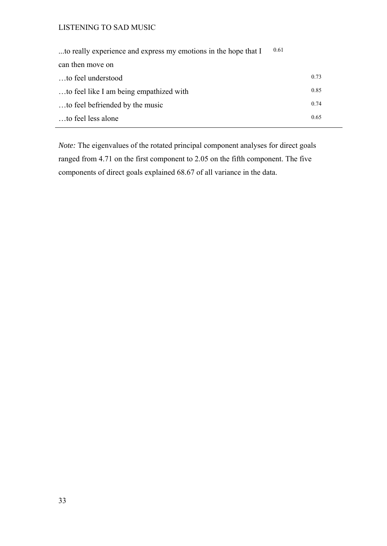| 0.61<br>to really experience and express my emotions in the hope that I |      |
|-------------------------------------------------------------------------|------|
| can then move on                                                        |      |
| to feel understood                                                      | 0.73 |
| to feel like I am being empathized with                                 | 0.85 |
| to feel befriended by the music                                         | 0.74 |
| to feel less alone                                                      | 0.65 |

*Note:* The eigenvalues of the rotated principal component analyses for direct goals ranged from 4.71 on the first component to 2.05 on the fifth component. The five components of direct goals explained 68.67 of all variance in the data.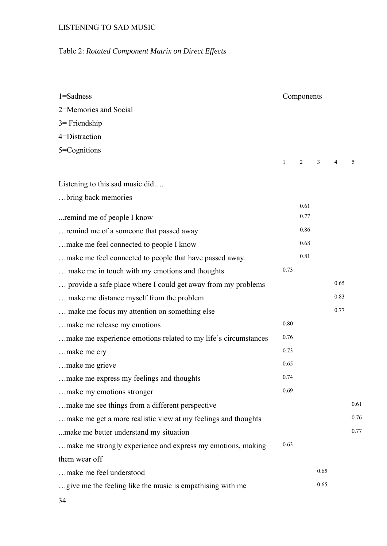# Table 2: *Rotated Component Matrix on Direct Effects*

| $1 =$ Sadness                                                  |              | Components |      |      |      |
|----------------------------------------------------------------|--------------|------------|------|------|------|
| 2=Memories and Social                                          |              |            |      |      |      |
| $3$ = Friendship                                               |              |            |      |      |      |
| 4=Distraction                                                  |              |            |      |      |      |
| 5=Cognitions                                                   |              |            |      |      |      |
|                                                                | $\mathbf{1}$ | 2          | 3    | 4    | 5    |
| Listening to this sad music did                                |              |            |      |      |      |
| bring back memories                                            |              |            |      |      |      |
|                                                                |              | 0.61       |      |      |      |
| remind me of people I know                                     |              | 0.77       |      |      |      |
| remind me of a someone that passed away                        |              | 0.86       |      |      |      |
| make me feel connected to people I know                        |              | 0.68       |      |      |      |
| make me feel connected to people that have passed away.        |              | 0.81       |      |      |      |
| make me in touch with my emotions and thoughts                 | 0.73         |            |      |      |      |
| provide a safe place where I could get away from my problems   |              |            |      | 0.65 |      |
| make me distance myself from the problem                       |              |            |      | 0.83 |      |
| make me focus my attention on something else                   |              |            |      | 0.77 |      |
| make me release my emotions                                    | 0.80         |            |      |      |      |
| make me experience emotions related to my life's circumstances | 0.76         |            |      |      |      |
| make me cry                                                    | 0.73         |            |      |      |      |
| make me grieve                                                 | 0.65         |            |      |      |      |
| make me express my feelings and thoughts                       | 0.74         |            |      |      |      |
| make my emotions stronger                                      | 0.69         |            |      |      |      |
| make me see things from a different perspective                |              |            |      |      | 0.61 |
| make me get a more realistic view at my feelings and thoughts  |              |            |      |      | 0.76 |
| make me better understand my situation                         |              |            |      |      | 0.77 |
| make me strongly experience and express my emotions, making    | 0.63         |            |      |      |      |
| them wear off                                                  |              |            |      |      |      |
| make me feel understood                                        |              |            | 0.65 |      |      |
| give me the feeling like the music is empathising with me      |              |            | 0.65 |      |      |
| 34                                                             |              |            |      |      |      |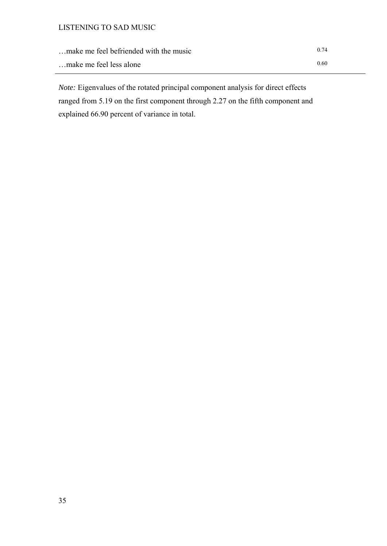| make me feel befriended with the music |  |  |  | 0.74 |
|----------------------------------------|--|--|--|------|
|----------------------------------------|--|--|--|------|

…make me feel less alone 0.60

*Note:* Eigenvalues of the rotated principal component analysis for direct effects ranged from 5.19 on the first component through 2.27 on the fifth component and explained 66.90 percent of variance in total.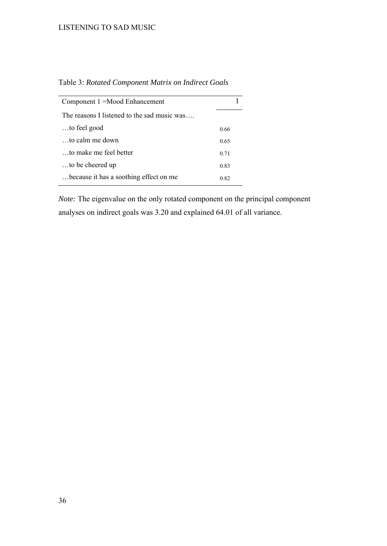| Component 1 = Mood Enhancement              |      |
|---------------------------------------------|------|
| The reasons I listened to the sad music was |      |
| to feel good                                | 0.66 |
| $\ldots$ to calm me down                    | 0.65 |
| to make me feel better                      | 0.71 |
| to be cheered up                            | 0.83 |
| because it has a soothing effect on me.     | 0.82 |

Table 3: *Rotated Component Matrix on Indirect Goals*

*Note:* The eigenvalue on the only rotated component on the principal component analyses on indirect goals was 3.20 and explained 64.01 of all variance.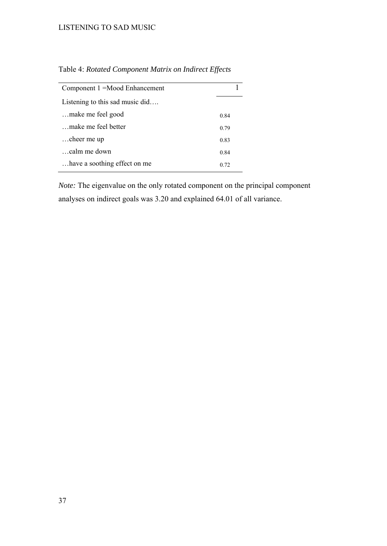| Component 1 = Mood Enhancement    |      |
|-----------------------------------|------|
| Listening to this sad music $did$ |      |
| make me feel good                 | 0.84 |
| make me feel better               | 0.79 |
| cheer me up                       | 0.83 |
| calm me down                      | 0.84 |
| have a soothing effect on me      | 0.72 |

Table 4: *Rotated Component Matrix on Indirect Effects* 

*Note:* The eigenvalue on the only rotated component on the principal component analyses on indirect goals was 3.20 and explained 64.01 of all variance.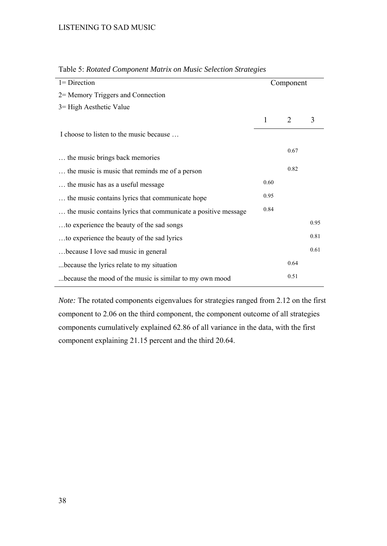| $l =$ Direction                                               |      | Component |      |
|---------------------------------------------------------------|------|-----------|------|
| 2 = Memory Triggers and Connection                            |      |           |      |
| 3 = High Aesthetic Value                                      |      |           |      |
|                                                               | 1    | 2         | 3    |
| I choose to listen to the music because                       |      |           |      |
| the music brings back memories                                |      | 0.67      |      |
| the music is music that reminds me of a person                |      | 0.82      |      |
| the music has as a useful message.                            | 0.60 |           |      |
| the music contains lyrics that communicate hope               | 0.95 |           |      |
| the music contains lyrics that communicate a positive message | 0.84 |           |      |
| to experience the beauty of the sad songs                     |      |           | 0.95 |
| to experience the beauty of the sad lyrics                    |      |           | 0.81 |
| because I love sad music in general                           |      |           | 0.61 |
| because the lyrics relate to my situation                     |      | 0.64      |      |
| because the mood of the music is similar to my own mood       |      | 0.51      |      |

Table 5: *Rotated Component Matrix on Music Selection Strategies*

*Note:* The rotated components eigenvalues for strategies ranged from 2.12 on the first component to 2.06 on the third component, the component outcome of all strategies components cumulatively explained 62.86 of all variance in the data, with the first component explaining 21.15 percent and the third 20.64.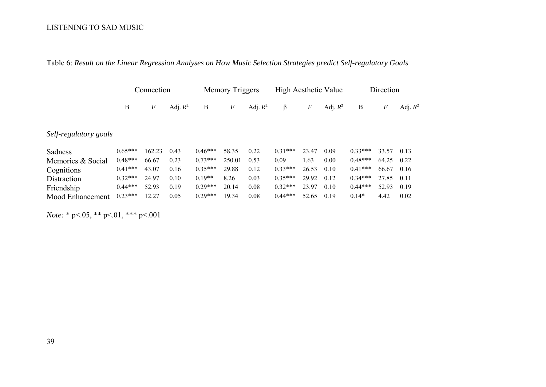|                       |           | Connection |            |           | Memory Triggers |            | High Aesthetic Value |                  |            |           | Direction |            |
|-----------------------|-----------|------------|------------|-----------|-----------------|------------|----------------------|------------------|------------|-----------|-----------|------------|
|                       | В         | F          | Adj. $R^2$ | B         | $\,F$           | Adj. $R^2$ | β                    | $\boldsymbol{F}$ | Adj. $R^2$ | B         | F         | Adj. $R^2$ |
| Self-regulatory goals |           |            |            |           |                 |            |                      |                  |            |           |           |            |
| Sadness               | $0.65***$ | 162.23     | 0.43       | $0.46***$ | 58.35           | 0.22       | $0.31***$            | 23.47            | 0.09       | $0.33***$ | 33.57     | 0.13       |
| Memories & Social     | $0.48***$ | 66.67      | 0.23       | $0.73***$ | 250.01          | 0.53       | 0.09                 | 1.63             | 0.00       | $0.48***$ | 64.25     | 0.22       |
| Cognitions            | $0.41***$ | 43.07      | 0.16       | $0.35***$ | 29.88           | 0.12       | $0.33***$            | 26.53            | 0.10       | $0.41***$ | 66.67     | 0.16       |
| Distraction           | $0.32***$ | 24.97      | 0.10       | $0.19**$  | 8.26            | 0.03       | $0.35***$            | 29.92            | 0.12       | $0.34***$ | 27.85     | 0.11       |
| Friendship            | $0.44***$ | 52.93      | 0.19       | $0.29***$ | 20.14           | 0.08       | $0.32***$            | 23.97            | 0.10       | $0.44***$ | 52.93     | 0.19       |
| Mood Enhancement      | $0.23***$ | 12.27      | 0.05       | $0.29***$ | 19.34           | 0.08       | $0.44***$            | 52.65            | 0.19       | $0.14*$   | 4.42      | 0.02       |

Table 6: *Result on the Linear Regression Analyses on How Music Selection Strategies predict Self-regulatory Goals* 

*Note:* \* p<.05, \*\* p<.01, \*\*\* p<.001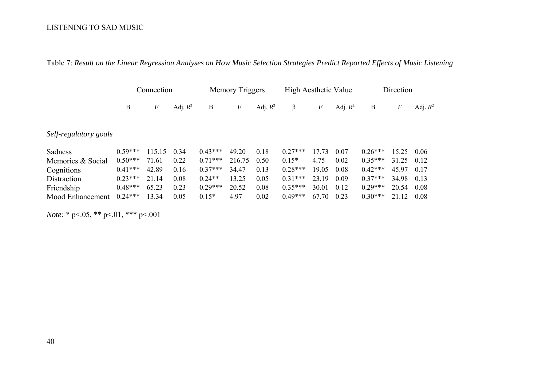|  |  |  | Table 7: Result on the Linear Regression Analyses on How Music Selection Strategies Predict Reported Effects of Music Listening |  |  |  |  |  |  |  |  |
|--|--|--|---------------------------------------------------------------------------------------------------------------------------------|--|--|--|--|--|--|--|--|
|  |  |  |                                                                                                                                 |  |  |  |  |  |  |  |  |

|                       |   | Connection     |              | Memory Triggers |  | High Aesthetic Value                    | Direction      |            |
|-----------------------|---|----------------|--------------|-----------------|--|-----------------------------------------|----------------|------------|
|                       | B | $\overline{F}$ | Adj. $R^2$ B |                 |  | $F$ Adj. $R^2$ $\beta$ $F$ Adj. $R^2$ B | $\overline{F}$ | Adj. $R^2$ |
| Self-regulatory goals |   |                |              |                 |  |                                         |                |            |

| Sadness           | $0.59***$ | 115 15   | 0.34 | $0.43***$ | 49.20  | 0.18 | $0.27***$ |          | 0.07 | $0.26***$ | 15 25 | 0.06 |
|-------------------|-----------|----------|------|-----------|--------|------|-----------|----------|------|-----------|-------|------|
| Memories & Social | $0.50***$ | -61      |      | $0.71***$ | 216.75 | 0.50 | $0.15*$   |          | 0.02 | $0.35***$ |       | 0.12 |
| Cognitions        | $0.41***$ | 42.89    | 0.16 | $0.37***$ | 34.47  | 0.13 | $0.28***$ | 19 05    | 0.08 | $0.42***$ | 45.97 | 0.17 |
| Distraction       | $0.23***$ | 21<br>14 | 0.08 | $0.24**$  | 13 25  | 0.05 | $0.31***$ | 23<br>19 | 0.09 | $0.37***$ | 34.98 | 0.13 |
| Friendship        | $0.48***$ |          | 0.23 | $0.29***$ | 20.52  | 0.08 | $0.35***$ | 30.01    | 0.12 | $0.29***$ | 20.54 | 0.08 |
| Mood Enhancement  | $0.24***$ |          | 0.05 | $0.15*$   | 4 97   | 0.02 | $0.49***$ | 67<br>70 | 0.23 | $0.30***$ |       | 0.08 |

*Note:* \* p<.05, \*\* p<.01, \*\*\* p<.001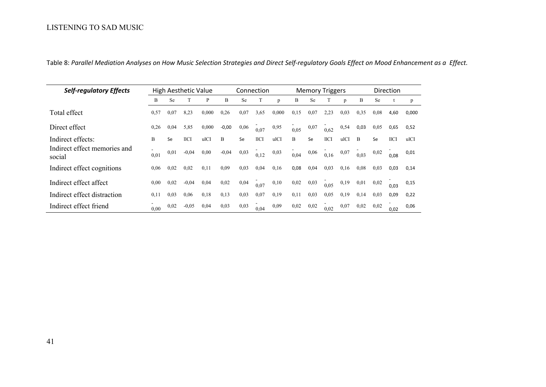| <b>Self-regulatory Effects</b>         |      |           | High Aesthetic Value |       |         |           | Connection |       |      | <b>Memory Triggers</b> |                  |      | Direction |           |      |       |
|----------------------------------------|------|-----------|----------------------|-------|---------|-----------|------------|-------|------|------------------------|------------------|------|-----------|-----------|------|-------|
|                                        | B    | <b>Se</b> |                      | P     | B       | Se        |            | p     | B    | <b>Se</b>              |                  | p    | B         | <b>Se</b> |      | p     |
| Total effect                           | 0,57 | 0,07      | 8,23                 | 0,000 | 0,26    | 0,07      | 3,65       | 0,000 | 0,15 | 0,07                   | 2,23             | 0,03 | 0,35      | 0.08      | 4,60 | 0,000 |
| Direct effect                          | 0,26 | 0,04      | 5,85                 | 0,000 | $-0,00$ | 0,06      | 0,07       | 0.95  | 0.05 | 0,07                   | 0.62             | 0,54 | 0,03      | 0.05      | 0,65 | 0,52  |
| Indirect effects:                      | B    | Se        | llCI                 | ulCI  | B       | <b>Se</b> | 11CI       | ulCI  | B    | Se                     | 11 <sub>CI</sub> | ulCI | B         | Se.       | 11CI | ulCI  |
| Indirect effect memories and<br>social | 0.01 | 0,01      | $-0.04$              | 0.00  | $-0,04$ | 0,03      | 0,12       | 0,03  | 0,04 | 0,06                   | 0,16             | 0,07 | 0.03      | 0,02      | 0,08 | 0,01  |
| Indirect effect cognitions             | 0,06 | 0,02      | 0.02                 | 0,11  | 0.09    | 0,03      | 0,04       | 0,16  | 0,08 | 0,04                   | 0,03             | 0.16 | 0,08      | 0.03      | 0,03 | 0,14  |
| Indirect effect affect                 | 0,00 | 0,02      | $-0.04$              | 0,04  | 0,02    | 0,04      | 0.07       | 0,10  | 0,02 | 0,03                   | 0.05             | 0,19 | 0,01      | 0,02      | 0,03 | 0,15  |
| Indirect effect distraction            | 0,11 | 0.03      | 0.06                 | 0.18  | 0.13    | 0.03      | 0.07       | 0.19  | 0,11 | 0.03                   | 0.05             | 0.19 | 0,14      | 0.03      | 0,09 | 0,22  |
| Indirect effect friend                 | 0.00 | 0.02      | $-0,05$              | 0,04  | 0,03    | 0.03      | 0,04       | 0.09  | 0,02 | 0,02                   | 0.02             | 0,07 | 0,02      | 0.02      | 0,02 | 0,06  |

Table 8: Parallel Mediation Analyses on How Music Selection Strategies and Direct Self-regulatory Goals Effect on Mood Enhancement as a Effect.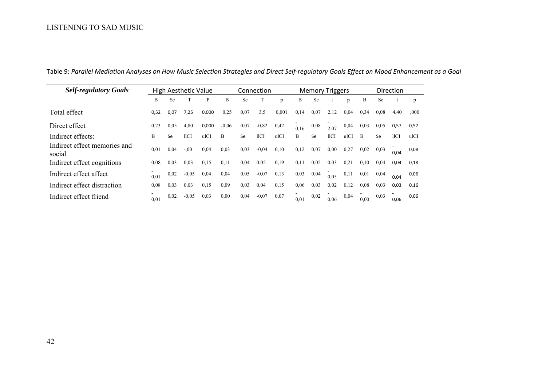| <b>Self-regulatory Goals</b>           | High Aesthetic Value |           |         |       | Connection |           |                  |       | <b>Memory Triggers</b> |      |      |      | Direction |           |               |      |
|----------------------------------------|----------------------|-----------|---------|-------|------------|-----------|------------------|-------|------------------------|------|------|------|-----------|-----------|---------------|------|
|                                        | B                    | <b>Se</b> |         | P     | B          | <b>Se</b> |                  | p     | B                      | Se   |      | p    | B         | <b>Se</b> |               | p    |
| Total effect                           | 0,52                 | 0,07      | 7,25    | 0,000 | 0,25       | 0,07      | 3,5              | 0.001 | 0,14                   | 0,07 | 2,12 | 0,04 | 0,34      | 0.08      | 4,40          | ,000 |
| Direct effect                          | 0,23                 | 0.05      | 4,80    | 0,000 | $-0.06$    | 0,07      | $-0,82$          | 0,42  | 0.16                   | 0.08 | 2,07 | 0,04 | 0,03      | 0,05      | 0,57          | 0,57 |
| Indirect effects:                      | B                    | Se        | 11CI    | ulCI  | B          | Se        | 11 <sub>CI</sub> | ulCI  | B                      | Se   | 11CI | ulCI | B         | Se        | $_{\rm IICI}$ | ulCI |
| Indirect effect memories and<br>social | 0.01                 | 0,04      | $-0.00$ | 0.04  | 0.03       | 0.03      | $-0.04$          | 0,10  | 0,12                   | 0,07 | 0.00 | 0,27 | 0,02      | 0.03      | 0,04          | 0,08 |
| Indirect effect cognitions             | 0.08                 | 0.03      | 0.03    | 0.15  | 0,11       | 0,04      | 0,05             | 0.19  | 0,11                   | 0.05 | 0.03 | 0,21 | 0,10      | 0,04      | 0,04          | 0,18 |
| Indirect effect affect                 | 0,01                 | 0.02      | $-0,05$ | 0.04  | 0.04       | 0.05      | $-0.07$          | 0.13  | 0,03                   | 0,04 | 0.05 | 0,11 | 0,01      | 0,04      | 0,04          | 0,06 |
| Indirect effect distraction            | 0.08                 | 0,03      | 0,03    | 0.15  | 0.09       | 0,03      | 0,04             | 0,15  | 0,06                   | 0,03 | 0,02 | 0,12 | 0,08      | 0,03      | 0,03          | 0,16 |
| Indirect effect friend                 | 0.01                 | 0.02      | $-0.05$ | 0.03  | 0.00       | 0,04      | $-0.07$          | 0.07  | 0.01                   | 0.02 | 0.06 | 0,04 | 0,00      | 0.03      | 0,06          | 0,06 |

Table 9: Parallel Mediation Analyses on How Music Selection Strategies and Direct Self-regulatory Goals Effect on Mood Enhancement as a Goal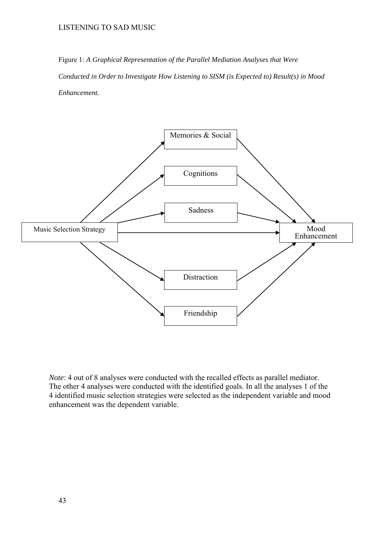Figure 1: *A Graphical Representation of the Parallel Mediation Analyses that Were Conducted in Order to Investigate How Listening to SISM (is Expected to) Result(s) in Mood Enhancement.* 



*Note*: 4 out of 8 analyses were conducted with the recalled effects as parallel mediator. The other 4 analyses were conducted with the identified goals. In all the analyses 1 of the 4 identified music selection strategies were selected as the independent variable and mood enhancement was the dependent variable.